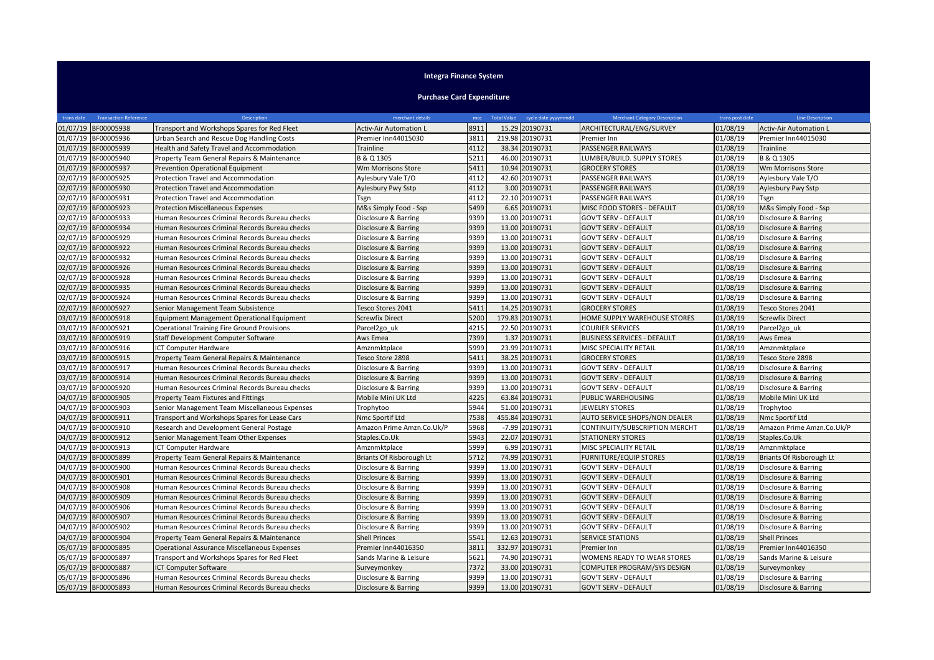## **Integra Finance System**

## **Purchase Card Expenditure**

| trans date | <b>Transaction Reference</b> | Description                                         | merchant details              | mcc. | Total Value cycle date yyyymmdd | <b>Merchant Category Description</b> | trans post date | <b>Line Description</b>       |
|------------|------------------------------|-----------------------------------------------------|-------------------------------|------|---------------------------------|--------------------------------------|-----------------|-------------------------------|
|            | 01/07/19 BF00005938          | Transport and Workshops Spares for Red Fleet        | <b>Activ-Air Automation L</b> | 8911 | 15.29 20190731                  | ARCHITECTURAL/ENG/SURVEY             | 01/08/19        | <b>Activ-Air Automation L</b> |
|            | 01/07/19 BF00005936          | Urban Search and Rescue Dog Handling Costs          | Premier Inn44015030           | 3811 | 219.98 20190731                 | Premier Inn                          | 01/08/19        | Premier Inn44015030           |
| 01/07/19   | BF00005939                   | Health and Safety Travel and Accommodation          | Trainline                     | 4112 | 38.34 20190731                  | PASSENGER RAILWAYS                   | 01/08/19        | Trainline                     |
|            | 01/07/19 BF00005940          | Property Team General Repairs & Maintenance         | B & Q 1305                    | 5211 | 46.00 20190731                  | LUMBER/BUILD. SUPPLY STORES          | 01/08/19        | B & Q 1305                    |
|            | 01/07/19 BF00005937          | Prevention Operational Equipment                    | Wm Morrisons Store            | 5411 | 10.94 20190731                  | <b>GROCERY STORES</b>                | 01/08/19        | Wm Morrisons Store            |
|            | 02/07/19 BF00005925          | Protection Travel and Accommodation                 | Aylesbury Vale T/O            | 4112 | 42.60 20190731                  | PASSENGER RAILWAYS                   | 01/08/19        | Aylesbury Vale T/O            |
| 02/07/19   | BF00005930                   | Protection Travel and Accommodation                 | Aylesbury Pwy Sstp            | 4112 | 3.00 20190731                   | PASSENGER RAILWAYS                   | 01/08/19        | Aylesbury Pwy Sstp            |
| 02/07/19   | BF00005931                   | Protection Travel and Accommodation                 | Tsgn                          | 4112 | 22.10 20190731                  | PASSENGER RAILWAYS                   | 01/08/19        | Tsgn                          |
|            | 02/07/19 BF00005923          | <b>Protection Miscellaneous Expenses</b>            | M&s Simply Food - Ssp         | 5499 | 6.65 20190731                   | MISC FOOD STORES - DEFAULT           | 01/08/19        | M&s Simply Food - Ssp         |
| 02/07/19   | BF00005933                   | Human Resources Criminal Records Bureau checks      | Disclosure & Barring          | 9399 | 13.00 20190731                  | <b>GOV'T SERV - DEFAULT</b>          | 01/08/19        | Disclosure & Barring          |
|            | 02/07/19 BF00005934          | Human Resources Criminal Records Bureau checks      | Disclosure & Barring          | 9399 | 13.00 20190731                  | <b>GOV'T SERV - DEFAULT</b>          | 01/08/19        | Disclosure & Barring          |
| 02/07/19   | BF00005929                   | Human Resources Criminal Records Bureau checks      | Disclosure & Barring          | 9399 | 13.00 20190731                  | <b>GOV'T SERV - DEFAULT</b>          | 01/08/19        | Disclosure & Barring          |
|            | 02/07/19 BF00005922          | Human Resources Criminal Records Bureau checks      | Disclosure & Barring          | 9399 | 13.00 20190731                  | <b>GOV'T SERV - DEFAULT</b>          | 01/08/19        | Disclosure & Barring          |
| 02/07/19   | BF00005932                   | Human Resources Criminal Records Bureau checks      | Disclosure & Barring          | 9399 | 13.00 20190731                  | <b>GOV'T SERV - DEFAULT</b>          | 01/08/19        | Disclosure & Barring          |
|            | 02/07/19 BF00005926          | Human Resources Criminal Records Bureau checks      | Disclosure & Barring          | 9399 | 13.00 20190731                  | <b>GOV'T SERV - DEFAULT</b>          | 01/08/19        | Disclosure & Barring          |
| 02/07/19   | BF00005928                   | Human Resources Criminal Records Bureau checks      | Disclosure & Barring          | 9399 | 13.00 20190731                  | <b>GOV'T SERV - DEFAULT</b>          | 01/08/19        | Disclosure & Barring          |
| 02/07/19   | BF00005935                   | Human Resources Criminal Records Bureau checks      | Disclosure & Barring          | 9399 | 13.00 20190731                  | <b>GOV'T SERV - DEFAULT</b>          | 01/08/19        | Disclosure & Barring          |
|            | 02/07/19 BF00005924          | Human Resources Criminal Records Bureau checks      | Disclosure & Barring          | 9399 | 13.00 20190731                  | <b>GOV'T SERV - DEFAULT</b>          | 01/08/19        | Disclosure & Barring          |
| 02/07/19   | BF00005927                   | Senior Management Team Subsistence                  | Tesco Stores 2041             | 5411 | 14.25 20190731                  | <b>GROCERY STORES</b>                | 01/08/19        | Tesco Stores 2041             |
| 03/07/19   | BF00005918                   | Equipment Management Operational Equipment          | Screwfix Direct               | 5200 | 179.83 20190731                 | HOME SUPPLY WAREHOUSE STORES         | 01/08/19        | <b>Screwfix Direct</b>        |
|            | 03/07/19 BF00005921          | <b>Operational Training Fire Ground Provisions</b>  | Parcel2go uk                  | 4215 | 22.50 20190731                  | <b>COURIER SERVICES</b>              | 01/08/19        | Parcel2go uk                  |
|            | 03/07/19 BF00005919          | Staff Development Computer Software                 | Aws Emea                      | 7399 | 1.37 20190731                   | <b>BUSINESS SERVICES - DEFAULT</b>   | 01/08/19        | Aws Emea                      |
| 03/07/19   | BF00005916                   | <b>ICT Computer Hardware</b>                        | Amznmktplace                  | 5999 | 23.99 20190731                  | MISC SPECIALITY RETAIL               | 01/08/19        | Amznmktplace                  |
|            | 03/07/19 BF00005915          | Property Team General Repairs & Maintenance         | Tesco Store 2898              | 5411 | 38.25 20190731                  | <b>GROCERY STORES</b>                | 01/08/19        | Tesco Store 2898              |
| 03/07/19   | BF00005917                   | Human Resources Criminal Records Bureau checks      | Disclosure & Barring          | 9399 | 13.00 20190731                  | <b>GOV'T SERV - DEFAULT</b>          | 01/08/19        | Disclosure & Barring          |
|            | 03/07/19 BF00005914          | Human Resources Criminal Records Bureau checks      | Disclosure & Barring          | 9399 | 13.00 20190731                  | <b>GOV'T SERV - DEFAULT</b>          | 01/08/19        | Disclosure & Barring          |
| 03/07/19   | BF00005920                   | Human Resources Criminal Records Bureau checks      | Disclosure & Barring          | 9399 | 13.00 20190731                  | <b>GOV'T SERV - DEFAULT</b>          | 01/08/19        | Disclosure & Barring          |
| 04/07/19   | BF00005905                   | Property Team Fixtures and Fittings                 | Mobile Mini UK Ltd            | 4225 | 63.84 20190731                  | PUBLIC WAREHOUSING                   | 01/08/19        | Mobile Mini UK Ltd            |
| 04/07/19   | BF00005903                   | Senior Management Team Miscellaneous Expenses       | Trophytoo                     | 5944 | 51.00 20190731                  | JEWELRY STORES                       | 01/08/19        | Trophytoo                     |
|            | 04/07/19 BF00005911          | Transport and Workshops Spares for Lease Cars       | Nmc Sportif Ltd               | 7538 | 455.84 20190731                 | AUTO SERVICE SHOPS/NON DEALER        | 01/08/19        | Nmc Sportif Ltd               |
|            | 04/07/19 BF00005910          | Research and Development General Postage            | Amazon Prime Amzn.Co.Uk/P     | 5968 | -7.99 20190731                  | CONTINUITY/SUBSCRIPTION MERCHT       | 01/08/19        | Amazon Prime Amzn.Co.Uk/P     |
| 04/07/19   | BF00005912                   | Senior Management Team Other Expenses               | Staples.Co.Uk                 | 5943 | 22.07 20190731                  | <b>STATIONERY STORES</b>             | 01/08/19        | Staples.Co.Uk                 |
|            | 04/07/19 BF00005913          | ICT Computer Hardware                               | Amznmktplace                  | 5999 | 6.99 20190731                   | MISC SPECIALITY RETAIL               | 01/08/19        | Amznmktplace                  |
| 04/07/19   | BF00005899                   | Property Team General Repairs & Maintenance         | Briants Of Risborough Lt      | 5712 | 74.99 20190731                  | <b>FURNITURE/EQUIP STORES</b>        | 01/08/19        | Briants Of Risborough Lt      |
|            | 04/07/19 BF00005900          | Human Resources Criminal Records Bureau checks      | Disclosure & Barring          | 9399 | 13.00 20190731                  | <b>GOV'T SERV - DEFAULT</b>          | 01/08/19        | Disclosure & Barring          |
|            | 04/07/19 BF00005901          | Human Resources Criminal Records Bureau checks      | Disclosure & Barring          | 9399 | 13.00 20190731                  | <b>GOV'T SERV - DEFAULT</b>          | 01/08/19        | Disclosure & Barring          |
| 04/07/19   | BF00005908                   | Human Resources Criminal Records Bureau checks      | Disclosure & Barring          | 9399 | 13.00 20190731                  | <b>GOV'T SERV - DEFAULT</b>          | 01/08/19        | Disclosure & Barring          |
|            | 04/07/19 BF00005909          | Human Resources Criminal Records Bureau checks      | Disclosure & Barring          | 9399 | 13.00 20190731                  | <b>GOV'T SERV - DEFAULT</b>          | 01/08/19        | Disclosure & Barring          |
|            | 04/07/19 BF00005906          | Human Resources Criminal Records Bureau checks      | Disclosure & Barring          | 9399 | 13.00 20190731                  | <b>GOV'T SERV - DEFAULT</b>          | 01/08/19        | Disclosure & Barring          |
|            | 04/07/19 BF00005907          | Human Resources Criminal Records Bureau checks      | Disclosure & Barring          | 9399 | 13.00 20190731                  | <b>GOV'T SERV - DEFAULT</b>          | 01/08/19        | Disclosure & Barring          |
| 04/07/19   | BF00005902                   | Human Resources Criminal Records Bureau checks      | Disclosure & Barring          | 9399 | 13.00 20190731                  | <b>GOV'T SERV - DEFAULT</b>          | 01/08/19        | Disclosure & Barring          |
| 04/07/19   | BF00005904                   | Property Team General Repairs & Maintenance         | <b>Shell Princes</b>          | 5541 | 12.63 20190731                  | <b>SERVICE STATIONS</b>              | 01/08/19        | <b>Shell Princes</b>          |
| 05/07/19   | BF00005895                   | <b>Operational Assurance Miscellaneous Expenses</b> | Premier Inn44016350           | 3811 | 332.97 20190731                 | Premier Inn                          | 01/08/19        | Premier Inn44016350           |
| 05/07/19   | BF00005897                   | Transport and Workshops Spares for Red Fleet        | Sands Marine & Leisure        | 5621 | 74.90 20190731                  | WOMENS READY TO WEAR STORES          | 01/08/19        | Sands Marine & Leisure        |
|            | 05/07/19 BF00005887          | <b>ICT Computer Software</b>                        | Surveymonkey                  | 7372 | 33.00 20190731                  | COMPUTER PROGRAM/SYS DESIGN          | 01/08/19        | Surveymonkey                  |
|            | 05/07/19 BF00005896          | Human Resources Criminal Records Bureau checks      | Disclosure & Barring          | 9399 | 13.00 20190731                  | <b>GOV'T SERV - DEFAULT</b>          | 01/08/19        | Disclosure & Barring          |
|            | 05/07/19 BF00005893          | Human Resources Criminal Records Bureau checks      | Disclosure & Barring          | 9399 | 13.00 20190731                  | <b>GOV'T SERV - DEFAULT</b>          | 01/08/19        | Disclosure & Barring          |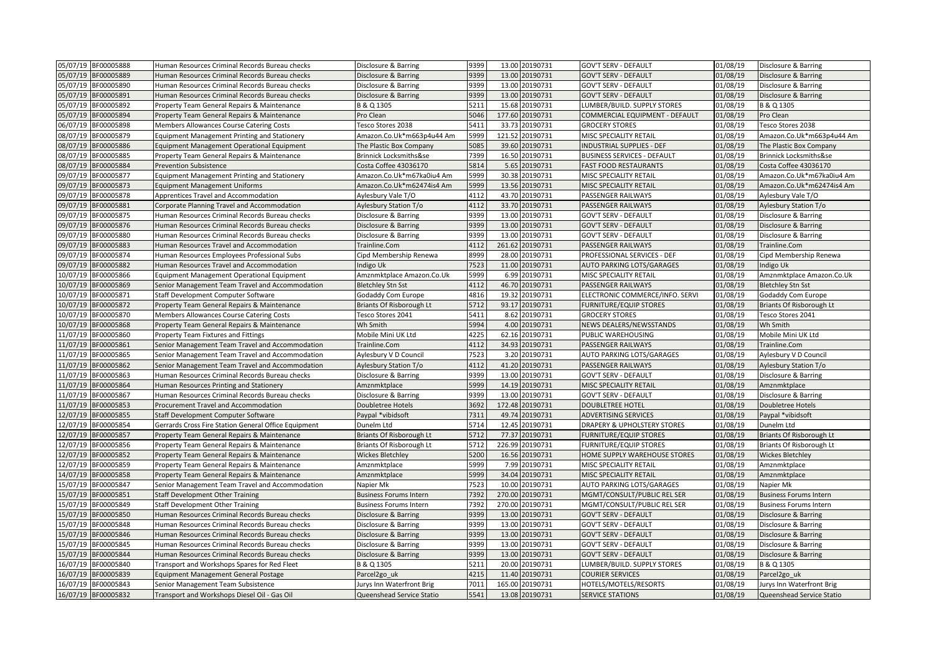| 05/07/19 BF00005888    | Human Resources Criminal Records Bureau checks       | Disclosure & Barring              | 9399 |        | 13.00 20190731  | <b>GOV'T SERV - DEFAULT</b>        | 01/08/19 | Disclosure & Barring              |
|------------------------|------------------------------------------------------|-----------------------------------|------|--------|-----------------|------------------------------------|----------|-----------------------------------|
| 05/07/19<br>BF00005889 | Human Resources Criminal Records Bureau checks       | Disclosure & Barring              | 9399 |        | 13.00 20190731  | <b>GOV'T SERV - DEFAULT</b>        | 01/08/19 | Disclosure & Barring              |
| 05/07/19 BF00005890    | Human Resources Criminal Records Bureau checks       | Disclosure & Barring              | 9399 |        | 13.00 20190731  | <b>GOV'T SERV - DEFAULT</b>        | 01/08/19 | Disclosure & Barring              |
| 05/07/19<br>BF00005891 | Human Resources Criminal Records Bureau checks       | Disclosure & Barring              | 9399 |        | 13.00 20190731  | <b>GOV'T SERV - DEFAULT</b>        | 01/08/19 | Disclosure & Barring              |
| 05/07/19<br>BF00005892 | Property Team General Repairs & Maintenance          | B & Q 1305                        | 5211 |        | 15.68 20190731  | LUMBER/BUILD. SUPPLY STORES        | 01/08/19 | B & Q 1305                        |
| 05/07/19<br>BF00005894 | Property Team General Repairs & Maintenance          | Pro Clean                         | 5046 |        | 177.60 20190731 | COMMERCIAL EQUIPMENT - DEFAULT     | 01/08/19 | Pro Clean                         |
| 06/07/19 BF00005898    | Members Allowances Course Catering Costs             | Tesco Stores 2038                 | 5411 |        | 33.73 20190731  | <b>GROCERY STORES</b>              | 01/08/19 | Tesco Stores 2038                 |
| BF00005879<br>08/07/19 | Equipment Management Printing and Stationery         | Amazon.Co.Uk*m663p4u44 Am         | 5999 |        | 121.52 20190731 | MISC SPECIALITY RETAIL             | 01/08/19 | Amazon.Co.Uk*m663p4u44 Am         |
| 08/07/19<br>BF00005886 | Equipment Management Operational Equipment           | The Plastic Box Company           | 5085 |        | 39.60 20190731  | <b>INDUSTRIAL SUPPLIES - DEF</b>   | 01/08/19 | The Plastic Box Company           |
| 08/07/19<br>BF00005885 | Property Team General Repairs & Maintenance          | <b>Brinnick Locksmiths&amp;se</b> | 7399 |        | 16.50 20190731  | <b>BUSINESS SERVICES - DEFAULT</b> | 01/08/19 | <b>Brinnick Locksmiths&amp;se</b> |
| 08/07/19<br>BF00005884 | <b>Prevention Subsistence</b>                        | Costa Coffee 43036170             | 5814 |        | 5.65 20190731   | <b>FAST FOOD RESTAURANTS</b>       | 01/08/19 | Costa Coffee 43036170             |
| 09/07/19<br>BF00005877 | Equipment Management Printing and Stationery         | Amazon.Co.Uk*m67ka0iu4 Am         | 5999 |        | 30.38 20190731  | MISC SPECIALITY RETAIL             | 01/08/19 | Amazon.Co.Uk*m67ka0iu4 Am         |
| 09/07/19<br>BF00005873 | <b>Equipment Management Uniforms</b>                 | Amazon.Co.Uk*m62474is4 Am         | 5999 | 13.56  | 20190731        | MISC SPECIALITY RETAIL             | 01/08/19 | Amazon.Co.Uk*m62474is4 Am         |
| 09/07/19<br>BF00005878 | Apprentices Travel and Accommodation                 | Aylesbury Vale T/O                | 4112 | 43.70  | 20190731        | PASSENGER RAILWAYS                 | 01/08/19 | Aylesbury Vale T/O                |
| 09/07/19<br>BF00005881 | Corporate Planning Travel and Accommodation          | Aylesbury Station T/o             | 4112 |        | 33.70 20190731  | PASSENGER RAILWAYS                 | 01/08/19 | Aylesbury Station T/o             |
| BF00005875<br>09/07/19 | Human Resources Criminal Records Bureau checks       | Disclosure & Barring              | 9399 |        | 13.00 20190731  | <b>GOV'T SERV - DEFAULT</b>        | 01/08/19 | Disclosure & Barring              |
| 09/07/19<br>BF00005876 | Human Resources Criminal Records Bureau checks       | Disclosure & Barring              | 9399 | 13.00  | 20190731        | GOV'T SERV - DEFAULT               | 01/08/19 | Disclosure & Barring              |
| 09/07/19<br>BF00005880 | Human Resources Criminal Records Bureau checks       | Disclosure & Barring              | 9399 | 13.00  | 20190731        | <b>GOV'T SERV - DEFAULT</b>        | 01/08/19 | Disclosure & Barring              |
| 09/07/19<br>BF00005883 | Human Resources Travel and Accommodation             | Trainline.Com                     | 4112 |        | 261.62 20190731 | PASSENGER RAILWAYS                 | 01/08/19 | Trainline.Com                     |
| 9/07/19<br>BF00005874  | Human Resources Employees Professional Subs          | Cipd Membership Renewa            | 8999 |        | 28.00 20190731  | PROFESSIONAL SERVICES - DEF        | 01/08/19 | Cipd Membership Renewa            |
| 09/07/19<br>BF00005882 | Human Resources Travel and Accommodation             | Indigo Uk                         | 7523 |        | 11.00 20190731  | AUTO PARKING LOTS/GARAGES          | 01/08/19 | Indigo Uk                         |
| 10/07/19<br>BF00005866 | <b>Equipment Management Operational Equipment</b>    | Amznmktplace Amazon.Co.Uk         | 5999 | 6.99   | 20190731        | MISC SPECIALITY RETAIL             | 01/08/19 | Amznmktplace Amazon.Co.Uk         |
| 10/07/19<br>BF00005869 | Senior Management Team Travel and Accommodation      | <b>Bletchley Stn Sst</b>          | 4112 | 46.70  | 20190731        | PASSENGER RAILWAYS                 | 01/08/19 | <b>Bletchley Stn Sst</b>          |
| 10/07/19<br>BF00005871 | Staff Development Computer Software                  | Godaddy Com Europe                | 4816 |        | 19.32 20190731  | ELECTRONIC COMMERCE/INFO. SERVI    | 01/08/19 | Godaddy Com Europe                |
| 10/07/19<br>BF00005872 | Property Team General Repairs & Maintenance          | Briants Of Risborough Lt          | 5712 |        | 93.17 20190731  | <b>FURNITURE/EQUIP STORES</b>      | 01/08/19 | Briants Of Risborough Lt          |
| 10/07/19<br>BF00005870 | Members Allowances Course Catering Costs             | Tesco Stores 2041                 | 5411 |        | 8.62 20190731   | <b>GROCERY STORES</b>              | 01/08/19 | Tesco Stores 2041                 |
| 10/07/19<br>BF00005868 | Property Team General Repairs & Maintenance          | Wh Smith                          | 5994 |        | 4.00 20190731   | NEWS DEALERS/NEWSSTANDS            | 01/08/19 | Wh Smith                          |
| 1/07/19<br>BF00005860  | Property Team Fixtures and Fittings                  | Mobile Mini UK Ltd                | 4225 |        | 62.16 20190731  | PUBLIC WAREHOUSING                 | 01/08/19 | Mobile Mini UK Ltd                |
| BF00005861<br>11/07/19 | Senior Management Team Travel and Accommodation      | Trainline.Com                     | 4112 |        | 34.93 20190731  | PASSENGER RAILWAYS                 | 01/08/19 | Trainline.Com                     |
| 1/07/19<br>BF00005865  | Senior Management Team Travel and Accommodation      | Aylesbury V D Council             | 7523 |        | 3.20 20190731   | AUTO PARKING LOTS/GARAGES          | 01/08/19 | Aylesbury V D Council             |
| 11/07/19<br>BF00005862 | Senior Management Team Travel and Accommodation      | <b>Aylesbury Station T/o</b>      | 4112 |        | 41.20 20190731  | PASSENGER RAILWAYS                 | 01/08/19 | Aylesbury Station T/o             |
| 11/07/19<br>BF00005863 | Human Resources Criminal Records Bureau checks       | Disclosure & Barring              | 9399 |        | 13.00 20190731  | <b>GOV'T SERV - DEFAULT</b>        | 01/08/19 | Disclosure & Barring              |
| BF00005864<br>11/07/19 | Human Resources Printing and Stationery              | Amznmktplace                      | 5999 |        | 14.19 20190731  | MISC SPECIALITY RETAIL             | 01/08/19 | Amznmktplace                      |
| 11/07/19<br>BF00005867 | Human Resources Criminal Records Bureau checks       | Disclosure & Barring              | 9399 | 13.00  | 20190731        | <b>GOV'T SERV - DEFAULT</b>        | 01/08/19 | Disclosure & Barring              |
| 11/07/19<br>BF00005853 | Procurement Travel and Accommodation                 | Doubletree Hotels                 | 3692 | 172.48 | 20190731        | <b>DOUBLETREE HOTEL</b>            | 01/08/19 | Doubletree Hotels                 |
| 12/07/19<br>BF00005855 | Staff Development Computer Software                  | Paypal *vibidsoft                 | 7311 |        | 49.74 20190731  | ADVERTISING SERVICES               | 01/08/19 | Paypal *vibidsoft                 |
| 12/07/19<br>BF00005854 | Gerrards Cross Fire Station General Office Equipment | Dunelm Ltd                        | 5714 |        | 12.45 20190731  | DRAPERY & UPHOLSTERY STORES        | 01/08/19 | Dunelm Ltd                        |
| 12/07/19<br>BF00005857 | Property Team General Repairs & Maintenance          | Briants Of Risborough Lt          | 5712 |        | 77.37 20190731  | <b>FURNITURE/EQUIP STORES</b>      | 01/08/19 | Briants Of Risborough Lt          |
| 12/07/19<br>BF00005856 | Property Team General Repairs & Maintenance          | Briants Of Risborough Lt          | 5712 | 226.99 | 20190731        | <b>FURNITURE/EQUIP STORES</b>      | 01/08/19 | Briants Of Risborough Lt          |
| 12/07/19<br>BF00005852 | Property Team General Repairs & Maintenance          | <b>Wickes Bletchley</b>           | 5200 |        | 16.56 20190731  | HOME SUPPLY WAREHOUSE STORES       | 01/08/19 | <b>Wickes Bletchley</b>           |
| BF00005859<br>12/07/19 | Property Team General Repairs & Maintenance          | Amznmktplace                      | 5999 |        | 7.99 20190731   | MISC SPECIALITY RETAIL             | 01/08/19 | Amznmktplace                      |
| 14/07/19<br>BF00005858 | Property Team General Repairs & Maintenance          | Amznmktplace                      | 5999 | 34.04  | 20190731        | MISC SPECIALITY RETAIL             | 01/08/19 | Amznmktplace                      |
| 15/07/19<br>BF00005847 | Senior Management Team Travel and Accommodation      | Napier Mk                         | 7523 | 10.00  | 20190731        | <b>AUTO PARKING LOTS/GARAGES</b>   | 01/08/19 | Napier Mk                         |
| 15/07/19<br>BF00005851 | <b>Staff Development Other Training</b>              | <b>Business Forums Intern</b>     | 7392 | 270.00 | 20190731        | MGMT/CONSULT/PUBLIC REL SER        | 01/08/19 | <b>Business Forums Intern</b>     |
| 15/07/19<br>BF00005849 | <b>Staff Development Other Training</b>              | <b>Business Forums Intern</b>     | 7392 |        | 270.00 20190731 | MGMT/CONSULT/PUBLIC REL SER        | 01/08/19 | <b>Business Forums Intern</b>     |
| 15/07/19<br>BF00005850 | Human Resources Criminal Records Bureau checks       | Disclosure & Barring              | 9399 |        | 13.00 20190731  | <b>GOV'T SERV - DEFAULT</b>        | 01/08/19 | Disclosure & Barring              |
| 15/07/19<br>BF00005848 | Human Resources Criminal Records Bureau checks       | Disclosure & Barring              | 9399 | 13.00  | 20190731        | <b>GOV'T SERV - DEFAULT</b>        | 01/08/19 | Disclosure & Barring              |
| 15/07/19<br>BF00005846 | Human Resources Criminal Records Bureau checks       | Disclosure & Barring              | 9399 | 13.00  | 20190731        | <b>GOV'T SERV - DEFAULT</b>        | 01/08/19 | Disclosure & Barring              |
| 15/07/19<br>BF00005845 | Human Resources Criminal Records Bureau checks       | Disclosure & Barring              | 9399 |        | 13.00 20190731  | <b>GOV'T SERV - DEFAULT</b>        | 01/08/19 | Disclosure & Barring              |
| BF00005844<br>15/07/19 | Human Resources Criminal Records Bureau checks       | Disclosure & Barring              | 9399 |        | 13.00 20190731  | <b>GOV'T SERV - DEFAULT</b>        | 01/08/19 | Disclosure & Barring              |
| 16/07/19<br>BF00005840 | Transport and Workshops Spares for Red Fleet         | B & Q 1305                        | 5211 | 20.00  | 20190731        | LUMBER/BUILD. SUPPLY STORES        | 01/08/19 | B & Q 1305                        |
| BF00005839<br>16/07/19 | <b>Equipment Management General Postage</b>          | Parcel2go uk                      | 4215 | 11.40  | 20190731        | <b>COURIER SERVICES</b>            | 01/08/19 | Parcel2go uk                      |
| 16/07/19<br>BF00005843 | Senior Management Team Subsistence                   | Jurys Inn Waterfront Brig         | 7011 |        | 165.00 20190731 | HOTELS/MOTELS/RESORTS              | 01/08/19 | Jurys Inn Waterfront Brig         |
| 16/07/19 BF00005832    | Transport and Workshops Diesel Oil - Gas Oil         | Queenshead Service Statio         | 5541 |        | 13.08 20190731  | <b>SERVICE STATIONS</b>            | 01/08/19 | Queenshead Service Statio         |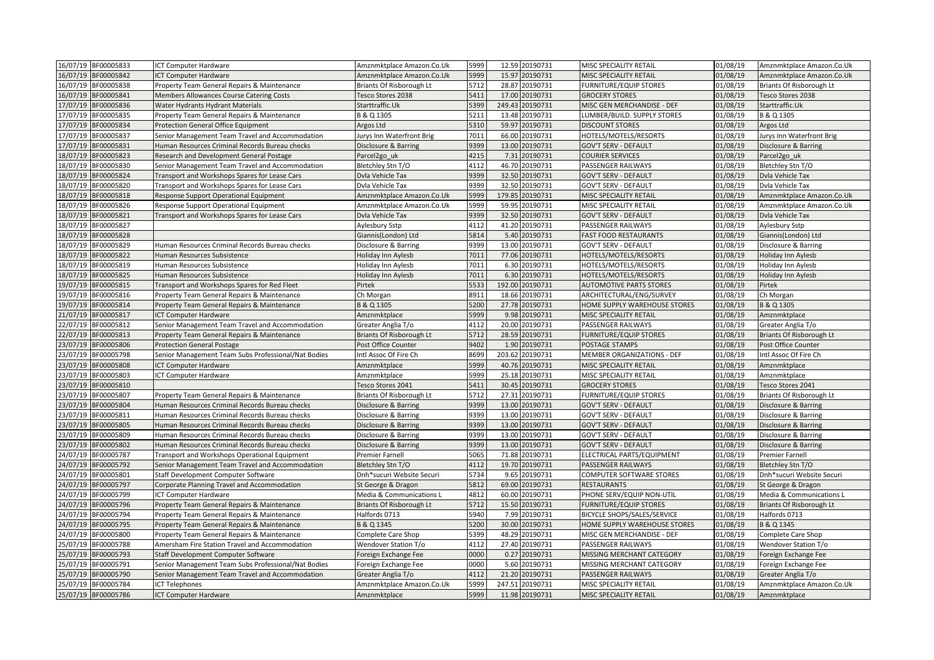| 16/07/19 BF00005833    | ICT Computer Hardware                               | Amznmktplace Amazon.Co.Uk | 5999 |        | 12.59 20190731  | MISC SPECIALITY RETAIL         | 01/08/19 | Amznmktplace Amazon.Co.Uk |
|------------------------|-----------------------------------------------------|---------------------------|------|--------|-----------------|--------------------------------|----------|---------------------------|
| 16/07/19<br>BF00005842 | ICT Computer Hardware                               | Amznmktplace Amazon.Co.Uk | 5999 |        | 15.97 20190731  | MISC SPECIALITY RETAIL         | 01/08/19 | Amznmktplace Amazon.Co.Uk |
| 16/07/19 BF00005838    | Property Team General Repairs & Maintenance         | Briants Of Risborough Lt  | 5712 |        | 28.87 20190731  | <b>FURNITURE/EQUIP STORES</b>  | 01/08/19 | Briants Of Risborough Lt  |
| 16/07/19<br>BF00005841 | Members Allowances Course Catering Costs            | Tesco Stores 2038         | 5411 | 17.00  | 20190731        | <b>GROCERY STORES</b>          | 01/08/19 | Tesco Stores 2038         |
| BF00005836<br>17/07/19 | Water Hydrants Hydrant Materials                    | Starttraffic.Uk           | 5399 |        | 249.43 20190731 | MISC GEN MERCHANDISE - DEF     | 01/08/19 | Starttraffic.Uk           |
| 17/07/19<br>BF00005835 | Property Team General Repairs & Maintenance         | B & Q 1305                | 5211 |        | 13.48 20190731  | LUMBER/BUILD. SUPPLY STORES    | 01/08/19 | B & Q 1305                |
| BF00005834<br>17/07/19 | Protection General Office Equipment                 | Argos Ltd                 | 5310 |        | 59.97 20190731  | <b>DISCOUNT STORES</b>         | 01/08/19 | Argos Ltd                 |
| 17/07/19<br>BF00005837 | Senior Management Team Travel and Accommodation     | Jurys Inn Waterfront Brig | 7011 |        | 66.00 20190731  | HOTELS/MOTELS/RESORTS          | 01/08/19 | Jurys Inn Waterfront Brig |
| 17/07/19<br>BF00005831 | Human Resources Criminal Records Bureau checks      | Disclosure & Barring      | 9399 | 13.00  | 20190731        | <b>GOV'T SERV - DEFAULT</b>    | 01/08/19 | Disclosure & Barring      |
| 18/07/19<br>BF00005823 | Research and Development General Postage            | Parcel2go uk              | 4215 |        | 7.31 20190731   | <b>COURIER SERVICES</b>        | 01/08/19 | Parcel2go uk              |
| 18/07/19<br>BF00005830 | Senior Management Team Travel and Accommodation     | Bletchley Stn T/O         | 4112 |        | 46.70 20190731  | PASSENGER RAILWAYS             | 01/08/19 | Bletchley Stn T/O         |
| 18/07/19<br>BF00005824 | Transport and Workshops Spares for Lease Cars       | Dvla Vehicle Tax          | 9399 |        | 32.50 20190731  | <b>GOV'T SERV - DEFAULT</b>    | 01/08/19 | Dvla Vehicle Tax          |
| 18/07/19<br>BF00005820 | Transport and Workshops Spares for Lease Cars       | Dvla Vehicle Tax          | 9399 |        | 32.50 20190731  | <b>GOV'T SERV - DEFAULT</b>    | 01/08/19 | Dvla Vehicle Tax          |
| 18/07/19<br>BF00005818 | Response Support Operational Equipment              | Amznmktplace Amazon.Co.Uk | 5999 | 179.85 | 20190731        | MISC SPECIALITY RETAIL         | 01/08/19 | Amznmktplace Amazon.Co.Uk |
| 18/07/19<br>BF00005826 | Response Support Operational Equipment              | Amznmktplace Amazon.Co.Uk | 5999 |        | 59.95 20190731  | MISC SPECIALITY RETAIL         | 01/08/19 | Amznmktplace Amazon.Co.Uk |
| 18/07/19<br>BF00005821 | Transport and Workshops Spares for Lease Cars       | Dvla Vehicle Tax          | 9399 |        | 32.50 20190731  | <b>GOV'T SERV - DEFAULT</b>    | 01/08/19 | Dvla Vehicle Tax          |
| 18/07/19<br>BF00005827 |                                                     | Aylesbury Sstp            | 4112 | 41.20  | 20190731        | PASSENGER RAILWAYS             | 01/08/19 | Aylesbury Sstp            |
| 18/07/19<br>BF00005828 |                                                     | Giannis(London) Ltd       | 5814 | 5.40   | 20190731        | <b>FAST FOOD RESTAURANTS</b>   | 01/08/19 | Giannis(London) Ltd       |
| 18/07/19<br>BF00005829 | Human Resources Criminal Records Bureau checks      | Disclosure & Barring      | 9399 |        | 13.00 20190731  | <b>GOV'T SERV - DEFAULT</b>    | 01/08/19 | Disclosure & Barring      |
| 18/07/19<br>BF00005822 | Human Resources Subsistence                         | Holiday Inn Aylesb        | 7011 |        | 77.06 20190731  | HOTELS/MOTELS/RESORTS          | 01/08/19 | Holiday Inn Aylesb        |
| BF00005819<br>18/07/19 | Human Resources Subsistence                         | Holiday Inn Aylesb        | 7011 |        | 6.30 20190731   | HOTELS/MOTELS/RESORTS          | 01/08/19 | Holiday Inn Aylesb        |
| 18/07/19<br>BF00005825 | Human Resources Subsistence                         | Holiday Inn Aylesb        | 7011 |        | 6.30 20190731   | HOTELS/MOTELS/RESORTS          | 01/08/19 | Holiday Inn Aylesb        |
| 19/07/19<br>BF00005815 | Transport and Workshops Spares for Red Fleet        | Pirtek                    | 5533 |        | 192.00 20190731 | <b>AUTOMOTIVE PARTS STORES</b> | 01/08/19 | Pirtek                    |
| 9/07/19<br>BF00005816  | Property Team General Repairs & Maintenance         | Ch Morgan                 | 8911 |        | 18.66 20190731  | ARCHITECTURAL/ENG/SURVEY       | 01/08/19 | Ch Morgan                 |
| 19/07/19<br>BF00005814 | Property Team General Repairs & Maintenance         | B & Q 1305                | 5200 |        | 27.78 20190731  | HOME SUPPLY WAREHOUSE STORES   | 01/08/19 | B & Q 1305                |
| 21/07/19<br>BF00005817 | <b>ICT Computer Hardware</b>                        | Amznmktplace              | 5999 |        | 9.98 20190731   | MISC SPECIALITY RETAIL         | 01/08/19 | Amznmktplace              |
| 22/07/19<br>BF00005812 | Senior Management Team Travel and Accommodation     | Greater Anglia T/o        | 4112 |        | 20.00 20190731  | PASSENGER RAILWAYS             | 01/08/19 | Greater Anglia T/o        |
| BF00005813<br>22/07/19 | Property Team General Repairs & Maintenance         | Briants Of Risborough Lt  | 5712 |        | 28.59 20190731  | <b>FURNITURE/EQUIP STORES</b>  | 01/08/19 | Briants Of Risborough Lt  |
| 23/07/19<br>BF00005806 | <b>Protection General Postage</b>                   | Post Office Counter       | 9402 |        | 1.90 20190731   | POSTAGE STAMPS                 | 01/08/19 | Post Office Counter       |
| 23/07/19<br>BF00005798 | Senior Management Team Subs Professional/Nat Bodies | Intl Assoc Of Fire Ch     | 8699 |        | 203.62 20190731 | MEMBER ORGANIZATIONS - DEF     | 01/08/19 | Intl Assoc Of Fire Ch     |
| 23/07/19<br>BF00005808 | <b>ICT Computer Hardware</b>                        | Amznmktplace              | 5999 |        | 40.76 20190731  | MISC SPECIALITY RETAIL         | 01/08/19 | Amznmktplace              |
| 23/07/19<br>BF00005803 | ICT Computer Hardware                               | Amznmktplace              | 5999 |        | 25.18 20190731  | MISC SPECIALITY RETAIL         | 01/08/19 | Amznmktplace              |
| 23/07/19<br>BF00005810 |                                                     | Tesco Stores 2041         | 5411 |        | 30.45 20190731  | <b>GROCERY STORES</b>          | 01/08/19 | Tesco Stores 2041         |
| BF00005807<br>23/07/19 | Property Team General Repairs & Maintenance         | Briants Of Risborough Lt  | 5712 |        | 27.31 20190731  | <b>FURNITURE/EQUIP STORES</b>  | 01/08/19 | Briants Of Risborough Lt  |
| 23/07/19<br>BF00005804 | Human Resources Criminal Records Bureau checks      | Disclosure & Barring      | 9399 |        | 13.00 20190731  | <b>GOV'T SERV - DEFAULT</b>    | 01/08/19 | Disclosure & Barring      |
| BF00005811<br>23/07/19 | Human Resources Criminal Records Bureau checks      | Disclosure & Barring      | 9399 |        | 13.00 20190731  | GOV'T SERV - DEFAULT           | 01/08/19 | Disclosure & Barring      |
| BF00005805<br>23/07/19 | Human Resources Criminal Records Bureau checks      | Disclosure & Barring      | 9399 |        | 13.00 20190731  | <b>GOV'T SERV - DEFAULT</b>    | 01/08/19 | Disclosure & Barring      |
| !3/07/19<br>BF00005809 | Human Resources Criminal Records Bureau checks      | Disclosure & Barring      | 9399 | 13.00  | 20190731        | <b>GOV'T SERV - DEFAULT</b>    | 01/08/19 | Disclosure & Barring      |
| BF00005802<br>23/07/19 | Human Resources Criminal Records Bureau checks      | Disclosure & Barring      | 9399 | 13.00  | 20190731        | <b>GOV'T SERV - DEFAULT</b>    | 01/08/19 | Disclosure & Barring      |
| 24/07/19<br>BF00005787 | Transport and Workshops Operational Equipment       | <b>Premier Farnell</b>    | 5065 |        | 71.88 20190731  | ELECTRICAL PARTS/EQUIPMENT     | 01/08/19 | Premier Farnell           |
| BF00005792<br>24/07/19 | Senior Management Team Travel and Accommodation     | Bletchley Stn T/O         | 4112 |        | 19.70 20190731  | PASSENGER RAILWAYS             | 01/08/19 | Bletchley Stn T/O         |
| 24/07/19<br>BF00005801 | Staff Development Computer Software                 | Dnh*sucuri Website Securi | 5734 | 9.65   | 20190731        | COMPUTER SOFTWARE STORES       | 01/08/19 | Dnh*sucuri Website Securi |
| 24/07/19<br>BF00005797 | Corporate Planning Travel and Accommodation         | St George & Dragon        | 5812 | 69.00  | 20190731        | <b>RESTAURANTS</b>             | 01/08/19 | St George & Dragon        |
| 24/07/19<br>BF00005799 | ICT Computer Hardware                               | Media & Communications L  | 4812 |        | 60.00 20190731  | PHONE SERV/EQUIP NON-UTIL      | 01/08/19 | Media & Communications L  |
| 24/07/19<br>BF00005796 | Property Team General Repairs & Maintenance         | Briants Of Risborough Lt  | 5712 |        | 15.50 20190731  | <b>FURNITURE/EQUIP STORES</b>  | 01/08/19 | Briants Of Risborough Lt  |
| 24/07/19<br>BF00005794 | Property Team General Repairs & Maintenance         | Halfords 0713             | 5940 |        | 7.99 20190731   | BICYCLE SHOPS/SALES/SERVICE    | 01/08/19 | Halfords 0713             |
| 24/07/19<br>BF00005795 | Property Team General Repairs & Maintenance         | B & Q 1345                | 5200 | 30.00  | 20190731        | HOME SUPPLY WAREHOUSE STORES   | 01/08/19 | B & Q 1345                |
| BF00005800<br>24/07/19 | Property Team General Repairs & Maintenance         | Complete Care Shop        | 5399 |        | 48.29 20190731  | MISC GEN MERCHANDISE - DEF     | 01/08/19 | Complete Care Shop        |
| 25/07/19<br>BF00005788 | Amersham Fire Station Travel and Accommodation      | Wendover Station T/o      | 4112 |        | 27.40 20190731  | PASSENGER RAILWAYS             | 01/08/19 | Wendover Station T/o      |
| 25/07/19<br>BF00005793 | Staff Development Computer Software                 | Foreign Exchange Fee      | 0000 |        | 0.27 20190731   | MISSING MERCHANT CATEGORY      | 01/08/19 | Foreign Exchange Fee      |
| 25/07/19<br>BF00005791 | Senior Management Team Subs Professional/Nat Bodies | Foreign Exchange Fee      | 0000 | 5.60   | 20190731        | MISSING MERCHANT CATEGORY      | 01/08/19 | Foreign Exchange Fee      |
| 25/07/19<br>BF00005790 | Senior Management Team Travel and Accommodation     | Greater Anglia T/o        | 4112 | 21.20  | 20190731        | PASSENGER RAILWAYS             | 01/08/19 | Greater Anglia T/o        |
| 25/07/19<br>BF00005784 | <b>ICT Telephones</b>                               | Amznmktplace Amazon.Co.Uk | 5999 |        | 247.51 20190731 | MISC SPECIALITY RETAIL         | 01/08/19 | Amznmktplace Amazon.Co.Uk |
| 25/07/19 BF00005786    | ICT Computer Hardware                               | Amznmktplace              | 5999 |        | 11.98 20190731  | MISC SPECIALITY RETAIL         | 01/08/19 | Amznmktplace              |